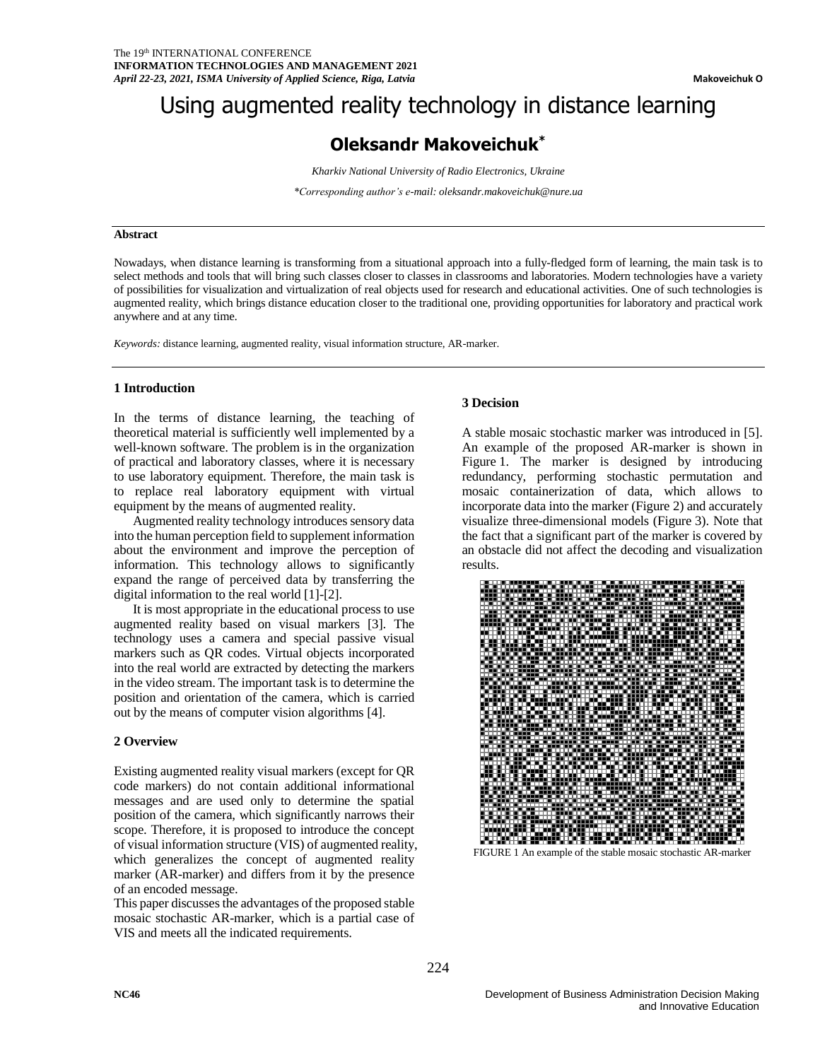# Using augmented reality technology in distance learning

# **Oleksandr Makoveichuk\***

*Kharkiv National University of Radio Electronics, Ukraine*

*\*Corresponding author's e-mail[: oleksandr.makoveichuk@nure.ua](mailto:oleksandr.makoveichuk@nure.ua)*

#### **Abstract**

Nowadays, when distance learning is transforming from a situational approach into a fully-fledged form of learning, the main task is to select methods and tools that will bring such classes closer to classes in classrooms and laboratories. Modern technologies have a variety of possibilities for visualization and virtualization of real objects used for research and educational activities. One of such technologies is augmented reality, which brings distance education closer to the traditional one, providing opportunities for laboratory and practical work anywhere and at any time.

*Keywords:* distance learning, augmented reality, visual information structure, AR-marker.

### **1 Introduction**

In the terms of distance learning, the teaching of theoretical material is sufficiently well implemented by a well-known software. The problem is in the organization of practical and laboratory classes, where it is necessary to use laboratory equipment. Therefore, the main task is to replace real laboratory equipment with virtual equipment by the means of augmented reality.

Augmented reality technology introduces sensory data into the human perception field to supplement information about the environment and improve the perception of information. This technology allows to significantly expand the range of perceived data by transferring the digital information to the real world [1]-[2].

It is most appropriate in the educational process to use augmented reality based on visual markers [3]. The technology uses a camera and special passive visual markers such as QR codes. Virtual objects incorporated into the real world are extracted by detecting the markers in the video stream. The important task is to determine the position and orientation of the camera, which is carried out by the means of computer vision algorithms [4].

#### **2 Overview**

Existing augmented reality visual markers (except for QR code markers) do not contain additional informational messages and are used only to determine the spatial position of the camera, which significantly narrows their scope. Therefore, it is proposed to introduce the concept of visual information structure (VIS) of augmented reality, which generalizes the concept of augmented reality marker (AR-marker) and differs from it by the presence of an encoded message.

This paper discusses the advantages of the proposed stable mosaic stochastic AR-marker, which is a partial case of VIS and meets all the indicated requirements.

#### **3 Decision**

A stable mosaic stochastic marker was introduced in [5]. An example of the proposed AR-marker is shown in Figure 1. The marker is designed by introducing redundancy, performing stochastic permutation and mosaic containerization of data, which allows to incorporate data into the marker (Figure 2) and accurately visualize three-dimensional models (Figure 3). Note that the fact that a significant part of the marker is covered by an obstacle did not affect the decoding and visualization results.



FIGURE 1 An example of the stable mosaic stochastic AR-marker